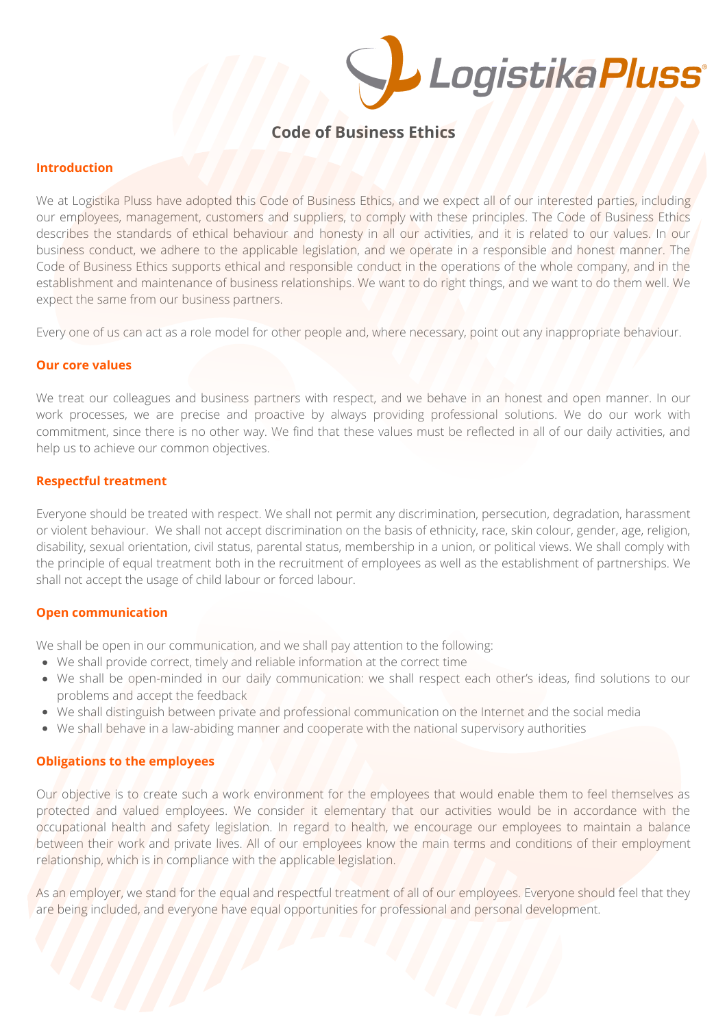

# **Code of Business Ethics**

#### **Introduction**

We at Logistika Pluss have adopted this Code of Business Ethics, and we expect all of our interested parties, including our employees, management, customers and suppliers, to comply with these principles. The Code of Business Ethics describes the standards of ethical behaviour and honesty in all our activities, and it is related to our values. In our business conduct, we adhere to the applicable legislation, and we operate in a responsible and honest manner. The Code of Business Ethics supports ethical and responsible conduct in the operations of the whole company, and in the establishment and maintenance of business relationships. We want to do right things, and we want to do them well. We expect the same from our business partners.

Every one of us can act as a role model for other people and, where necessary, point out any inappropriate behaviour.

## **Our core values**

We treat our colleagues and business partners with respect, and we behave in an honest and open manner. In our work processes, we are precise and proactive by always providing professional solutions. We do our work with commitment, since there is no other way. We find that these values must be reflected in all of our daily activities, and help us to achieve our common objectives.

## **Respectful treatment**

Everyone should be treated with respect. We shall not permit any discrimination, persecution, degradation, harassment or violent behaviour. We shall not accept discrimination on the basis of ethnicity, race, skin colour, gender, age, religion, disability, sexual orientation, civil status, parental status, membership in a union, or political views. We shall comply with the principle of equal treatment both in the recruitment of employees as well as the establishment of partnerships. We shall not accept the usage of child labour or forced labour.

## **Open communication**

We shall be open in our communication, and we shall pay attention to the following:

- We shall provide correct, timely and reliable information at the correct time
- We shall be open-minded in our daily communication: we shall respect each other's ideas, find solutions to our problems and accept the feedback
- We shall distinguish between private and professional communication on the Internet and the social media
- We shall behave in a law-abiding manner and cooperate with the national supervisory authorities

## **Obligations to the employees**

Our objective is to create such a work environment for the employees that would enable them to feel themselves as protected and valued employees. We consider it elementary that our activities would be in accordance with the occupational health and safety legislation. In regard to health, we encourage our employees to maintain a balance between their work and private lives. All of our employees know the main terms and conditions of their employment relationship, which is in compliance with the applicable legislation.

As an employer, we stand for the equal and respectful treatment of all of our employees. Everyone should feel that they are being included, and everyone have equal opportunities for professional and personal development.